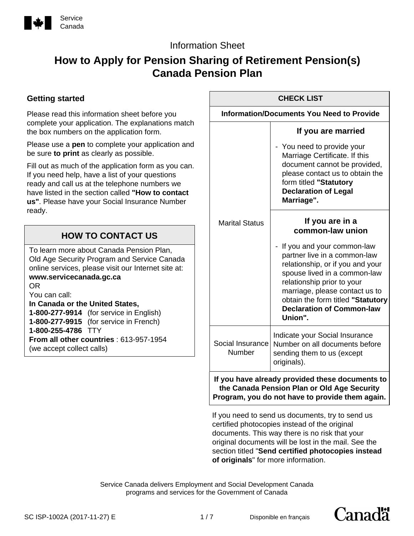

### Information Sheet

# **How to Apply for Pension Sharing of Retirement Pension(s) Canada Pension Plan**

### **Getting started**

Please read this information sheet before you complete your application. The explanations match the box numbers on the application form.

Please use a **pen** to complete your application and be sure **to print** as clearly as possible.

Fill out as much of the application form as you can. If you need help, have a list of your questions ready and call us at the telephone numbers we have listed in the section called **"How to contact us"**. Please have your Social Insurance Number ready.

## **HOW TO CONTACT US**

To learn more about Canada Pension Plan, Old Age Security Program and Service Canada online services, please visit our Internet site at: **www.servicecanada.gc.ca**  OR

You can call:

#### **In Canada or the United States,**

**1-800-277-9914** (for service in English) **1-800-277-9915** (for service in French) **1-800-255-4786** TTY **From all other countries** : 613-957-1954 (we accept collect calls)

| <b>CHECK LIST</b>                                                                              |                                                                                                                                                                                                                                                                                    |
|------------------------------------------------------------------------------------------------|------------------------------------------------------------------------------------------------------------------------------------------------------------------------------------------------------------------------------------------------------------------------------------|
| <b>Information/Documents You Need to Provide</b>                                               |                                                                                                                                                                                                                                                                                    |
|                                                                                                | If you are married                                                                                                                                                                                                                                                                 |
| <b>Marital Status</b>                                                                          | You need to provide your<br>Marriage Certificate. If this<br>document cannot be provided,<br>please contact us to obtain the<br>form titled "Statutory<br><b>Declaration of Legal</b><br>Marriage".                                                                                |
|                                                                                                | If you are in a<br>common-law union                                                                                                                                                                                                                                                |
|                                                                                                | If you and your common-law<br>partner live in a common-law<br>relationship, or if you and your<br>spouse lived in a common-law<br>relationship prior to your<br>marriage, please contact us to<br>obtain the form titled "Statutory<br><b>Declaration of Common-law</b><br>Union". |
| Social Insurance<br>Number                                                                     | Indicate your Social Insurance<br>Number on all documents before<br>sending them to us (except<br>originals).                                                                                                                                                                      |
| If you have already provided these documents to<br>the Canada Pension Plan or Old Age Security |                                                                                                                                                                                                                                                                                    |

**Program, you do not have to provide them again.**

If you need to send us documents, try to send us certified photocopies instead of the original documents. This way there is no risk that your original documents will be lost in the mail. See the section titled "**Send certified photocopies instead of originals**" for more information.

Service Canada delivers Employment and Social Development Canada programs and services for the Government of Canada

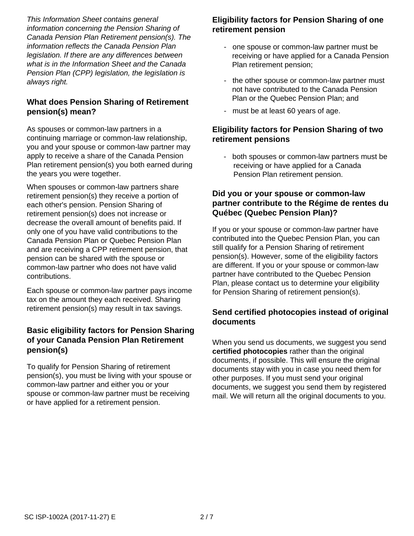*This Information Sheet contains general information concerning the Pension Sharing of Canada Pension Plan Retirement pension(s). The information reflects the Canada Pension Plan legislation. If there are any differences between what is in the Information Sheet and the Canada Pension Plan (CPP) legislation, the legislation is always right.*

### **What does Pension Sharing of Retirement pension(s) mean?**

As spouses or common-law partners in a continuing marriage or common-law relationship, you and your spouse or common-law partner may apply to receive a share of the Canada Pension Plan retirement pension(s) you both earned during the years you were together.

When spouses or common-law partners share retirement pension(s) they receive a portion of each other's pension. Pension Sharing of retirement pension(s) does not increase or decrease the overall amount of benefits paid. If only one of you have valid contributions to the Canada Pension Plan or Quebec Pension Plan and are receiving a CPP retirement pension, that pension can be shared with the spouse or common-law partner who does not have valid contributions.

Each spouse or common-law partner pays income tax on the amount they each received. Sharing retirement pension(s) may result in tax savings.

#### **Basic eligibility factors for Pension Sharing of your Canada Pension Plan Retirement pension(s)**

To qualify for Pension Sharing of retirement pension(s), you must be living with your spouse or common-law partner and either you or your spouse or common-law partner must be receiving or have applied for a retirement pension.

### **Eligibility factors for Pension Sharing of one retirement pension**

- one spouse or common-law partner must be receiving or have applied for a Canada Pension Plan retirement pension;
- the other spouse or common-law partner must not have contributed to the Canada Pension Plan or the Quebec Pension Plan; and
- must be at least 60 years of age.

#### **Eligibility factors for Pension Sharing of two retirement pensions**

- both spouses or common-law partners must be receiving or have applied for a Canada Pension Plan retirement pension.

### **Did you or your spouse or common-law partner contribute to the Régime de rentes du Québec (Quebec Pension Plan)?**

If you or your spouse or common-law partner have contributed into the Quebec Pension Plan, you can still qualify for a Pension Sharing of retirement pension(s). However, some of the eligibility factors are different. If you or your spouse or common-law partner have contributed to the Quebec Pension Plan, please contact us to determine your eligibility for Pension Sharing of retirement pension(s).

### **Send certified photocopies instead of original documents**

When you send us documents, we suggest you send **certified photocopies** rather than the original documents, if possible. This will ensure the original documents stay with you in case you need them for other purposes. If you must send your original documents, we suggest you send them by registered mail. We will return all the original documents to you.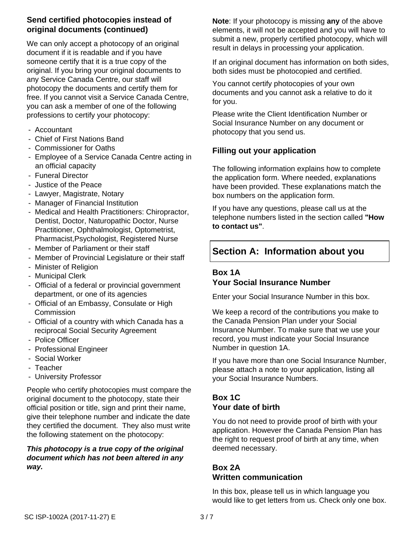### **Send certified photocopies instead of original documents (continued)**

We can only accept a photocopy of an original document if it is readable and if you have someone certify that it is a true copy of the original. If you bring your original documents to any Service Canada Centre, our staff will photocopy the documents and certify them for free. If you cannot visit a Service Canada Centre, you can ask a member of one of the following professions to certify your photocopy:

- Accountant
- Chief of First Nations Band
- Commissioner for Oaths
- Employee of a Service Canada Centre acting in an official capacity
- Funeral Director
- Justice of the Peace
- Lawyer, Magistrate, Notary
- Manager of Financial Institution
- Medical and Health Practitioners: Chiropractor, Dentist, Doctor, Naturopathic Doctor, Nurse Practitioner, Ophthalmologist, Optometrist, Pharmacist,Psychologist, Registered Nurse
- Member of Parliament or their staff
- Member of Provincial Legislature or their staff
- Minister of Religion
- Municipal Clerk
- Official of a federal or provincial government department, or one of its agencies
- Official of an Embassy, Consulate or High Commission
- Official of a country with which Canada has a reciprocal Social Security Agreement
- Police Officer
- Professional Engineer
- Social Worker
- Teacher
- University Professor

People who certify photocopies must compare the original document to the photocopy, state their official position or title, sign and print their name, give their telephone number and indicate the date they certified the document. They also must write the following statement on the photocopy:

#### *This photocopy is a true copy of the original document which has not been altered in any way.*

**Note**: If your photocopy is missing **any** of the above elements, it will not be accepted and you will have to submit a new, properly certified photocopy, which will result in delays in processing your application.

If an original document has information on both sides, both sides must be photocopied and certified.

You cannot certify photocopies of your own documents and you cannot ask a relative to do it for you.

Please write the Client Identification Number or Social Insurance Number on any document or photocopy that you send us.

### **Filling out your application**

The following information explains how to complete the application form. Where needed, explanations have been provided. These explanations match the box numbers on the application form.

If you have any questions, please call us at the telephone numbers listed in the section called **"How to contact us"**.

## **Section A: Information about you**

### **Box 1A Your Social Insurance Number**

Enter your Social Insurance Number in this box.

We keep a record of the contributions you make to the Canada Pension Plan under your Social Insurance Number. To make sure that we use your record, you must indicate your Social Insurance Number in question 1A.

If you have more than one Social Insurance Number, please attach a note to your application, listing all your Social Insurance Numbers.

### **Box 1C Your date of birth**

You do not need to provide proof of birth with your application. However the Canada Pension Plan has the right to request proof of birth at any time, when deemed necessary.

### **Box 2A Written communication**

In this box, please tell us in which language you would like to get letters from us. Check only one box.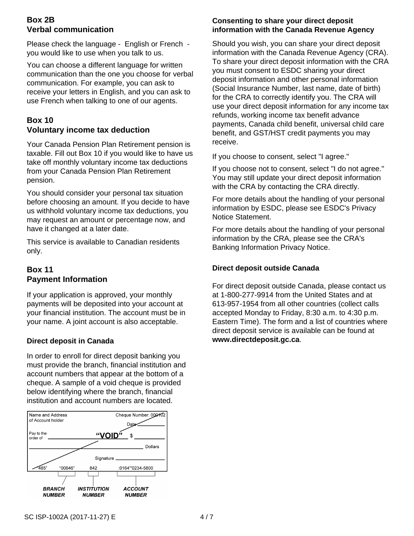### **Box 2B Verbal communication**

Please check the language - English or French you would like to use when you talk to us.

You can choose a different language for written communication than the one you choose for verbal communication. For example, you can ask to receive your letters in English, and you can ask to use French when talking to one of our agents.

### **Box 10 Voluntary income tax deduction**

Your Canada Pension Plan Retirement pension is taxable. Fill out Box 10 if you would like to have us take off monthly voluntary income tax deductions from your Canada Pension Plan Retirement pension.

You should consider your personal tax situation before choosing an amount. If you decide to have us withhold voluntary income tax deductions, you may request an amount or percentage now, and have it changed at a later date.

This service is available to Canadian residents only.

### **Box 11 Payment Information**

If your application is approved, your monthly payments will be deposited into your account at your financial institution. The account must be in your name. A joint account is also acceptable.

#### **Direct deposit in Canada**

In order to enroll for direct deposit banking you must provide the branch, financial institution and account numbers that appear at the bottom of a cheque. A sample of a void cheque is provided below identifying where the branch, financial institution and account numbers are located.



### **Consenting to share your direct deposit information with the Canada Revenue Agency**

Should you wish, you can share your direct deposit information with the Canada Revenue Agency (CRA). To share your direct deposit information with the CRA you must consent to ESDC sharing your direct deposit information and other personal information (Social Insurance Number, last name, date of birth) for the CRA to correctly identify you. The CRA will use your direct deposit information for any income tax refunds, working income tax benefit advance payments, Canada child benefit, universal child care benefit, and GST/HST credit payments you may receive.

If you choose to consent, select "I agree."

If you choose not to consent, select "I do not agree." You may still update your direct deposit information with the CRA by contacting the CRA directly.

For more details about the handling of your personal information by ESDC, please see ESDC's Privacy Notice Statement.

For more details about the handling of your personal information by the CRA, please see the CRA's Banking Information Privacy Notice.

### **Direct deposit outside Canada**

For direct deposit outside Canada, please contact us at 1-800-277-9914 from the United States and at 613-957-1954 from all other countries (collect calls accepted Monday to Friday, 8:30 a.m. to 4:30 p.m. Eastern Time). The form and a list of countries where direct deposit service is available can be found at **www.directdeposit.gc.ca**.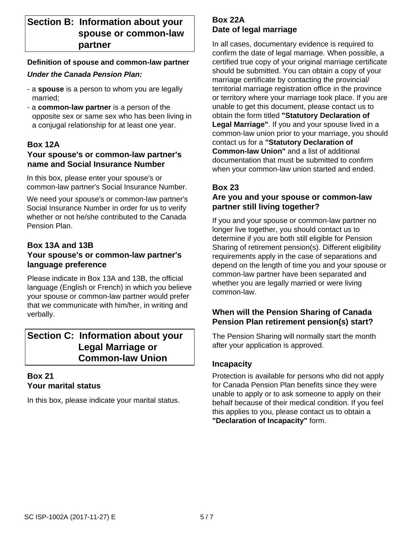## **Section B: Information about your spouse or common-law partner**

### **Definition of spouse and common-law partner** *Under the Canada Pension Plan:*

- a **spouse** is a person to whom you are legally married;
- a **common-law partner** is a person of the opposite sex or same sex who has been living in a conjugal relationship for at least one year.

### **Box 12A**

### **Your spouse's or common-law partner's name and Social Insurance Number**

In this box, please enter your spouse's or common-law partner's Social Insurance Number.

We need your spouse's or common-law partner's Social Insurance Number in order for us to verify whether or not he/she contributed to the Canada Pension Plan.

### **Box 13A and 13B Your spouse's or common-law partner's language preference**

Please indicate in Box 13A and 13B, the official language (English or French) in which you believe your spouse or common-law partner would prefer that we communicate with him/her, in writing and verbally.

## **Section C: Information about your Legal Marriage or Common-law Union**

### **Box 21 Your marital status**

In this box, please indicate your marital status.

## **Box 22A Date of legal marriage**

In all cases, documentary evidence is required to confirm the date of legal marriage. When possible, a certified true copy of your original marriage certificate should be submitted. You can obtain a copy of your marriage certificate by contacting the provincial/ territorial marriage registration office in the province or territory where your marriage took place. If you are unable to get this document, please contact us to obtain the form titled **"Statutory Declaration of Legal Marriage"**. If you and your spouse lived in a common-law union prior to your marriage, you should contact us for a **"Statutory Declaration of Common-law Union"** and a list of additional documentation that must be submitted to confirm when your common-law union started and ended.

### **Box 23**

### **Are you and your spouse or common-law partner still living together?**

If you and your spouse or common-law partner no longer live together, you should contact us to determine if you are both still eligible for Pension Sharing of retirement pension(s). Different eligibility requirements apply in the case of separations and depend on the length of time you and your spouse or common-law partner have been separated and whether you are legally married or were living common-law.

### **When will the Pension Sharing of Canada Pension Plan retirement pension(s) start?**

The Pension Sharing will normally start the month after your application is approved.

### **Incapacity**

Protection is available for persons who did not apply for Canada Pension Plan benefits since they were unable to apply or to ask someone to apply on their behalf because of their medical condition. If you feel this applies to you, please contact us to obtain a **"Declaration of Incapacity"** form.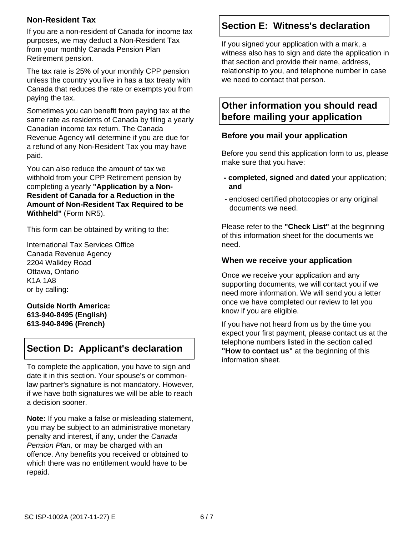### **Non-Resident Tax**

If you are a non-resident of Canada for income tax purposes, we may deduct a Non-Resident Tax from your monthly Canada Pension Plan Retirement pension.

The tax rate is 25% of your monthly CPP pension unless the country you live in has a tax treaty with Canada that reduces the rate or exempts you from paying the tax.

Sometimes you can benefit from paying tax at the same rate as residents of Canada by filing a yearly Canadian income tax return. The Canada Revenue Agency will determine if you are due for a refund of any Non-Resident Tax you may have paid.

You can also reduce the amount of tax we withhold from your CPP Retirement pension by completing a yearly **"Application by a Non-Resident of Canada for a Reduction in the Amount of Non-Resident Tax Required to be Withheld"** (Form NR5).

This form can be obtained by writing to the:

International Tax Services Office Canada Revenue Agency 2204 Walkley Road Ottawa, Ontario K1A 1A8 or by calling:

**Outside North America: 613-940-8495 (English) 613-940-8496 (French)**

## **Section D: Applicant's declaration**

To complete the application, you have to sign and date it in this section. Your spouse's or commonlaw partner's signature is not mandatory. However, if we have both signatures we will be able to reach a decision sooner.

**Note:** If you make a false or misleading statement, you may be subject to an administrative monetary penalty and interest, if any, under the *Canada Pension Plan,* or may be charged with an offence. Any benefits you received or obtained to which there was no entitlement would have to be repaid.

# **Section E: Witness's declaration**

If you signed your application with a mark, a witness also has to sign and date the application in that section and provide their name, address, relationship to you, and telephone number in case we need to contact that person.

## **Other information you should read before mailing your application**

### **Before you mail your application**

Before you send this application form to us, please make sure that you have:

- **completed, signed** and **dated** your application; **and**
- enclosed certified photocopies or any original documents we need.

Please refer to the **"Check List"** at the beginning of this information sheet for the documents we need.

### **When we receive your application**

Once we receive your application and any supporting documents, we will contact you if we need more information. We will send you a letter once we have completed our review to let you know if you are eligible.

If you have not heard from us by the time you expect your first payment, please contact us at the telephone numbers listed in the section called **"How to contact us"** at the beginning of this information sheet.